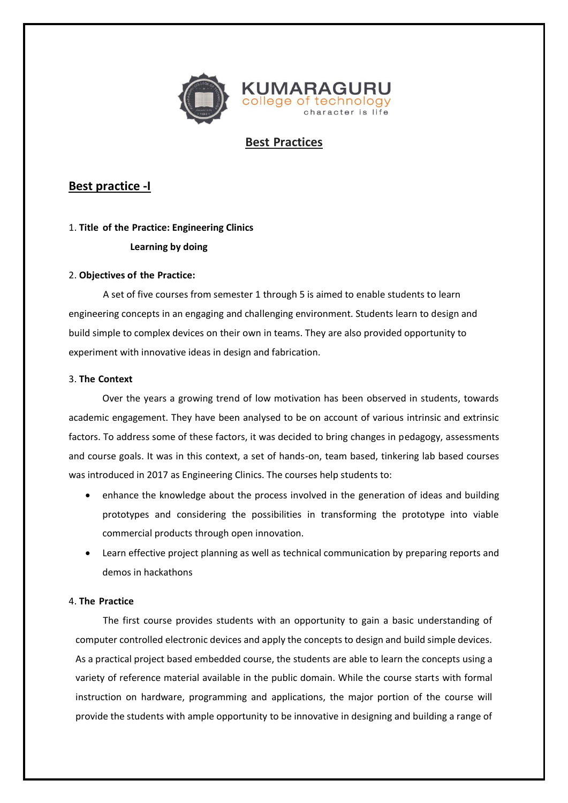

# **Best Practices**

# **Best practice -I**

## 1. **Title of the Practice: Engineering Clinics**

## **Learning by doing**

## 2. **Objectives of the Practice:**

A set of five courses from semester 1 through 5 is aimed to enable students to learn engineering concepts in an engaging and challenging environment. Students learn to design and build simple to complex devices on their own in teams. They are also provided opportunity to experiment with innovative ideas in design and fabrication.

### 3. **The Context**

Over the years a growing trend of low motivation has been observed in students, towards academic engagement. They have been analysed to be on account of various intrinsic and extrinsic factors. To address some of these factors, it was decided to bring changes in pedagogy, assessments and course goals. It was in this context, a set of hands-on, team based, tinkering lab based courses was introduced in 2017 as Engineering Clinics. The courses help students to:

- enhance the knowledge about the process involved in the generation of ideas and building prototypes and considering the possibilities in transforming the prototype into viable commercial products through open innovation.
- Learn effective project planning as well as technical communication by preparing reports and demos in hackathons

## 4. **The Practice**

The first course provides students with an opportunity to gain a basic understanding of computer controlled electronic devices and apply the concepts to design and build simple devices. As a practical project based embedded course, the students are able to learn the concepts using a variety of reference material available in the public domain. While the course starts with formal instruction on hardware, programming and applications, the major portion of the course will provide the students with ample opportunity to be innovative in designing and building a range of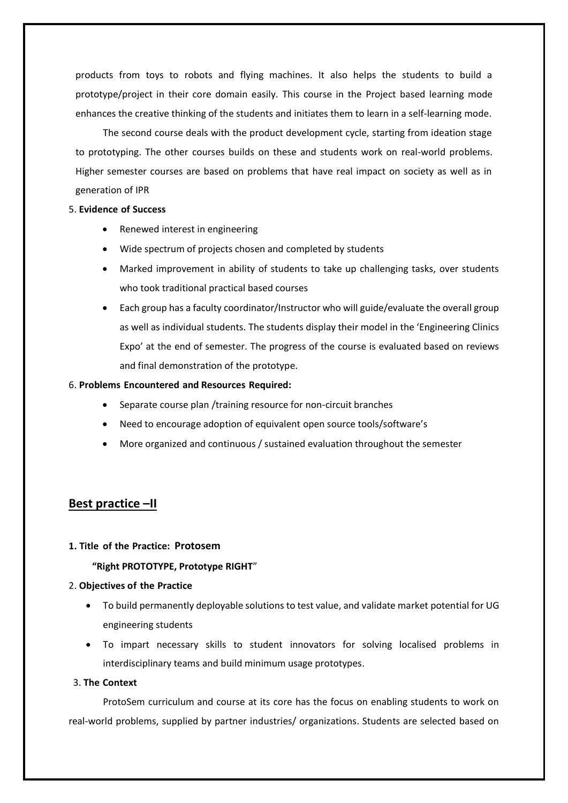products from toys to robots and flying machines. It also helps the students to build a prototype/project in their core domain easily. This course in the Project based learning mode enhances the creative thinking of the students and initiates them to learn in a self-learning mode.

The second course deals with the product development cycle, starting from ideation stage to prototyping. The other courses builds on these and students work on real-world problems. Higher semester courses are based on problems that have real impact on society as well as in generation of IPR

#### 5. **Evidence of Success**

- Renewed interest in engineering
- Wide spectrum of projects chosen and completed by students
- Marked improvement in ability of students to take up challenging tasks, over students who took traditional practical based courses
- Each group has a faculty coordinator/Instructor who will guide/evaluate the overall group as well as individual students. The students display their model in the 'Engineering Clinics Expo' at the end of semester. The progress of the course is evaluated based on reviews and final demonstration of the prototype.

### 6. **Problems Encountered and Resources Required:**

- Separate course plan /training resource for non-circuit branches
- Need to encourage adoption of equivalent open source tools/software's
- More organized and continuous / sustained evaluation throughout the semester

## **Best practice –II**

#### **1. Title of the Practice: Protosem**

### **"Right PROTOTYPE, Prototype RIGHT**"

#### 2. **Objectives of the Practice**

- To build permanently deployable solutions to test value, and validate market potential for UG engineering students
- To impart necessary skills to student innovators for solving localised problems in interdisciplinary teams and build minimum usage prototypes.

## 3. **The Context**

ProtoSem curriculum and course at its core has the focus on enabling students to work on real-world problems, supplied by partner industries/ organizations. Students are selected based on